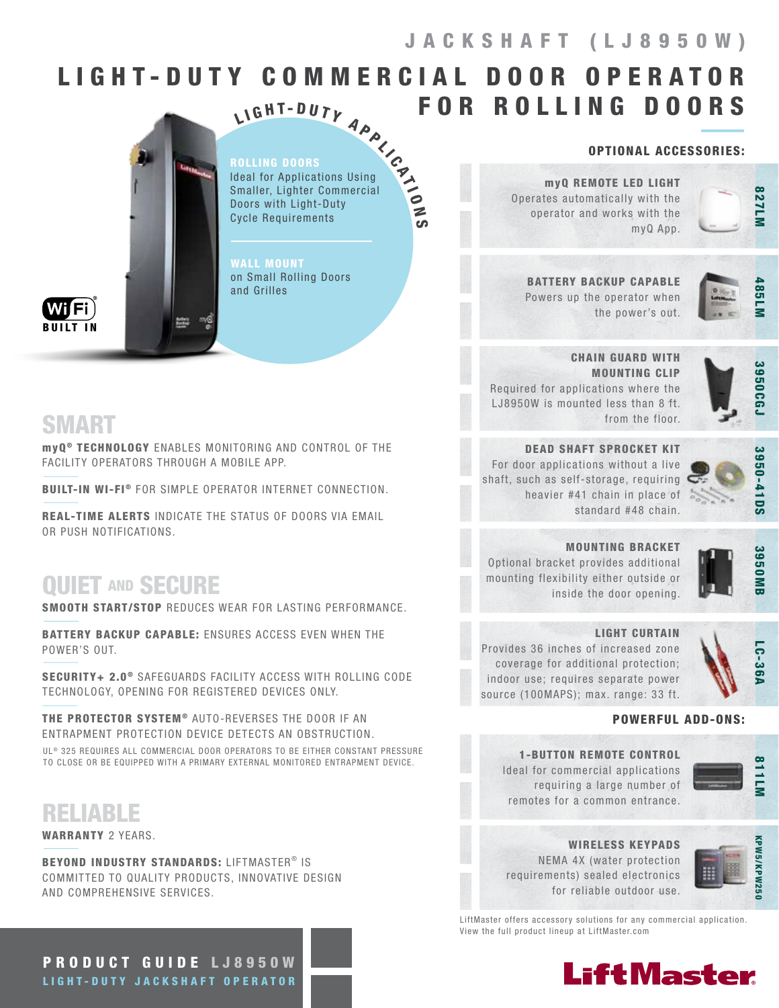# LIGHT-DUTY COMMERCIAL DOOR OPERATOR FOR ROLLING DOORS

 $\bullet$ N ပာ



ROLLING DOORS Ideal for Applications Using Smaller, Lighter Commercial Doors with Light-Duty Cycle Requirements LIGHT-DUTY APP

WALL MOUNT on Small Rolling Doors and Grilles

BUILT IN

SMART

myQ ® TECHNOLOGY ENABLES MONITORING AND CONTROL OF THE FACILITY OPERATORS THROUGH A MOBILE APP.

BUILT-IN WI-FI<sup>®</sup> FOR SIMPLE OPERATOR INTERNET CONNECTION.

REAL-TIME ALERTS INDICATE THE STATUS OF DOORS VIA EMAIL OR PUSH NOTIFICATIONS.

# **OUIET AND SECURE**

SMOOTH START/STOP REDUCES WEAR FOR LASTING PERFORMANCE.

BATTERY BACKUP CAPABLE: ENSURES ACCESS EVEN WHEN THE POWER'S OUT.

SECURITY+ 2.0<sup>®</sup> SAFEGUARDS FACILITY ACCESS WITH ROLLING CODE TECHNOLOGY, OPENING FOR REGISTERED DEVICES ONLY.

THE PROTECTOR SYSTEM<sup>®</sup> AUTO-REVERSES THE DOOR IF AN ENTRAPMENT PROTECTION DEVICE DETECTS AN OBSTRUCTION. UL® 325 REQUIRES ALL COMMERCIAL DOOR OPERATORS TO BE EITHER CONSTANT PRESSURE TO CLOSE OR BE EQUIPPED WITH A PRIMARY EXTERNAL MONITORED ENTRAPMENT DEVICE.

RELIABLE

WARRANTY 2 YEARS.

BEYOND INDUSTRY STANDARDS: LIFTMASTER® IS COMMITTED TO QUALITY PRODUCTS, INNOVATIVE DESIGN AND COMPREHENSIVE SERVICES.

PRODUCT GUIDE LJ8950W LIGHT-DUTY JACKSHAFT OPERATOR

#### OPTIONAL ACCESSORIES:

myQ REMOTE LED LIGHT Operates automatically with the operator and works with the myQ App.

BATTERY BACKUP CAPABLE Powers up the operator when the power's out.



**NTLZ8** 

CHAIN GUARD WITH MOUNTING CLIP

Required for applications where the LJ8950W is mounted less than 8 ft. from the floor.



DEAD SHAFT SPROCKET KIT For door applications without a live shaft, such as self-storage, requiring heavier #41 chain in place of standard #48 chain.



MOUNTING BRACKET Optional bracket provides additional

inside the door opening.

3950M

#### LIGHT CURTAIN

Provides 36 inches of increased zone coverage for additional protection; indoor use; requires separate power source (100MAPS); max. range: 33 ft.

mounting flexibility either outside or



#### POWERFUL ADD-ONS:

1-BUTTON REMOTE CONTROL Ideal for commercial applications requiring a large number of remotes for a common entrance.



WIRELESS KEYPADS NEMA 4X (water protection requirements) sealed electronics for reliable outdoor use.



LiftMaster offers accessory solutions for any commercial application. View the full product lineup at LiftMaster.com